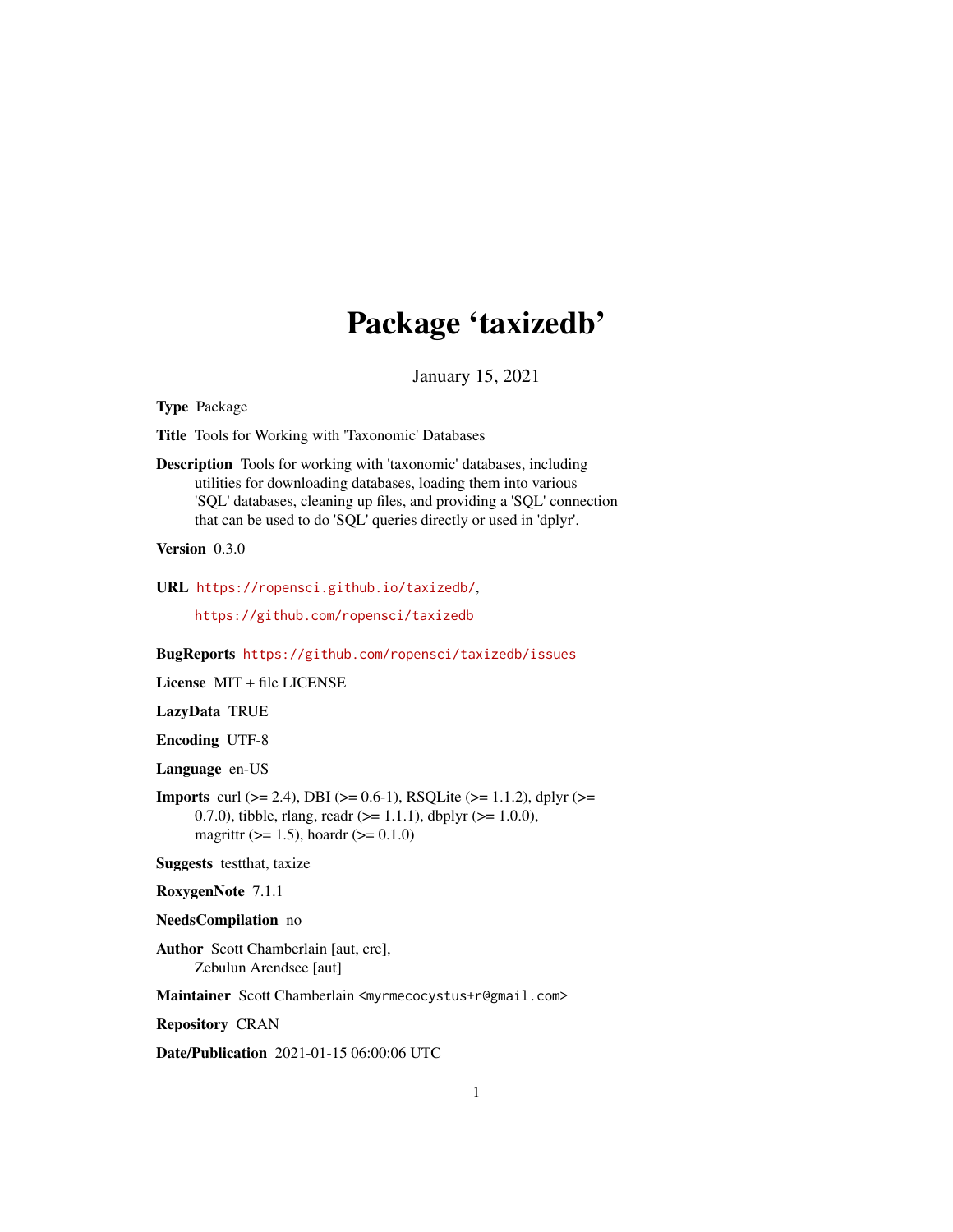## Package 'taxizedb'

January 15, 2021

<span id="page-0-0"></span>Type Package

Title Tools for Working with 'Taxonomic' Databases

Description Tools for working with 'taxonomic' databases, including utilities for downloading databases, loading them into various 'SQL' databases, cleaning up files, and providing a 'SQL' connection that can be used to do 'SQL' queries directly or used in 'dplyr'.

Version 0.3.0

URL <https://ropensci.github.io/taxizedb/>,

<https://github.com/ropensci/taxizedb>

BugReports <https://github.com/ropensci/taxizedb/issues>

License MIT + file LICENSE

LazyData TRUE

Encoding UTF-8

Language en-US

**Imports** curl ( $>= 2.4$ ), DBI ( $>= 0.6-1$ ), RSQLite ( $>= 1.1.2$ ), dplyr ( $>= 1.1.2$ ) 0.7.0), tibble, rlang, readr  $(>= 1.1.1)$ , dbplyr  $(>= 1.0.0)$ , magrittr ( $> = 1.5$ ), hoardr ( $> = 0.1.0$ )

Suggests testthat, taxize

RoxygenNote 7.1.1

NeedsCompilation no

Author Scott Chamberlain [aut, cre], Zebulun Arendsee [aut]

Maintainer Scott Chamberlain <myrmecocystus+r@gmail.com>

Repository CRAN

Date/Publication 2021-01-15 06:00:06 UTC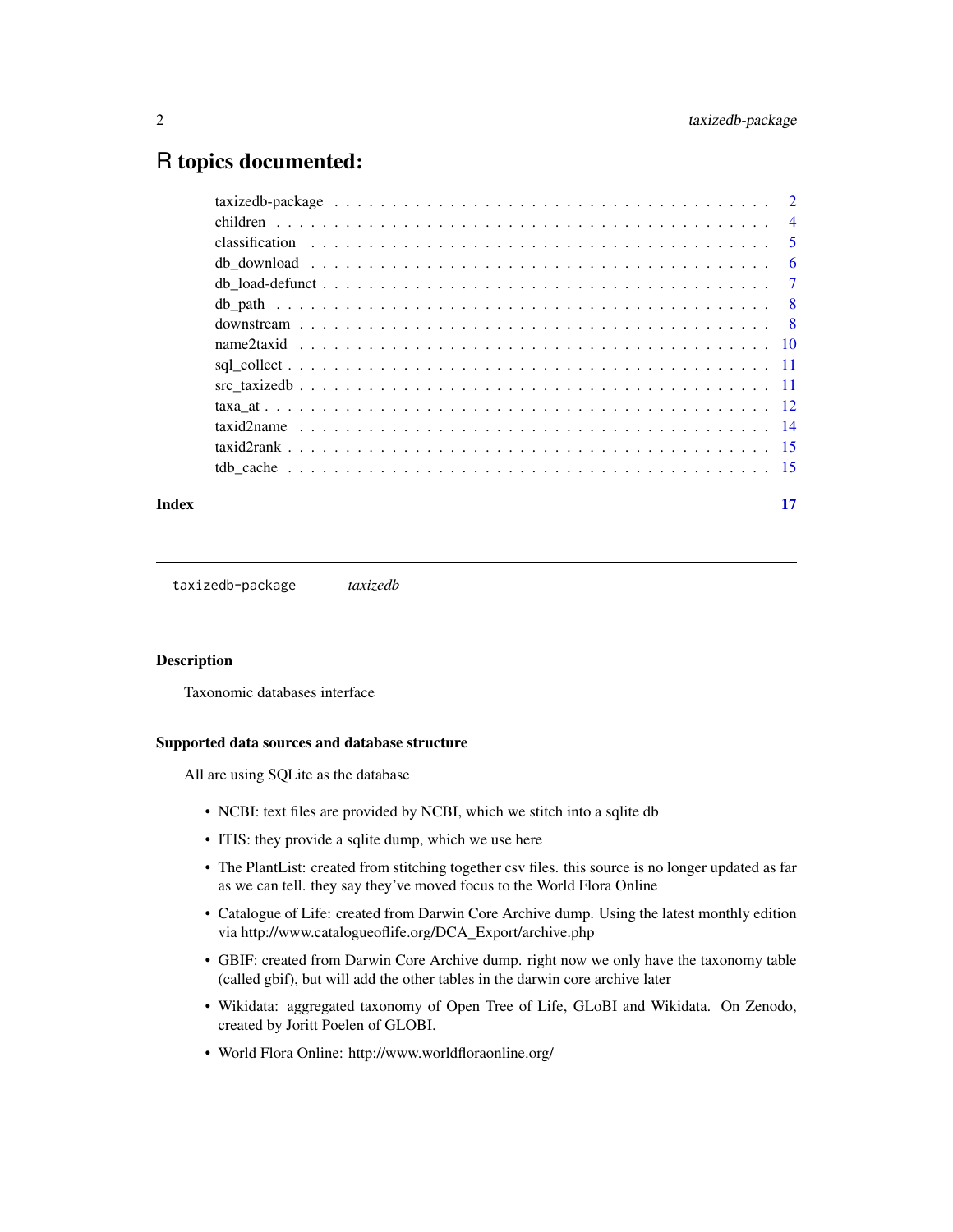## <span id="page-1-0"></span>R topics documented:

#### **Index** [17](#page-16-0)

taxizedb-package *taxizedb*

#### Description

Taxonomic databases interface

#### Supported data sources and database structure

All are using SQLite as the database

- NCBI: text files are provided by NCBI, which we stitch into a sqlite db
- ITIS: they provide a sqlite dump, which we use here
- The PlantList: created from stitching together csv files. this source is no longer updated as far as we can tell. they say they've moved focus to the World Flora Online
- Catalogue of Life: created from Darwin Core Archive dump. Using the latest monthly edition via http://www.catalogueoflife.org/DCA\_Export/archive.php
- GBIF: created from Darwin Core Archive dump. right now we only have the taxonomy table (called gbif), but will add the other tables in the darwin core archive later
- Wikidata: aggregated taxonomy of Open Tree of Life, GLoBI and Wikidata. On Zenodo, created by Joritt Poelen of GLOBI.
- World Flora Online: http://www.worldfloraonline.org/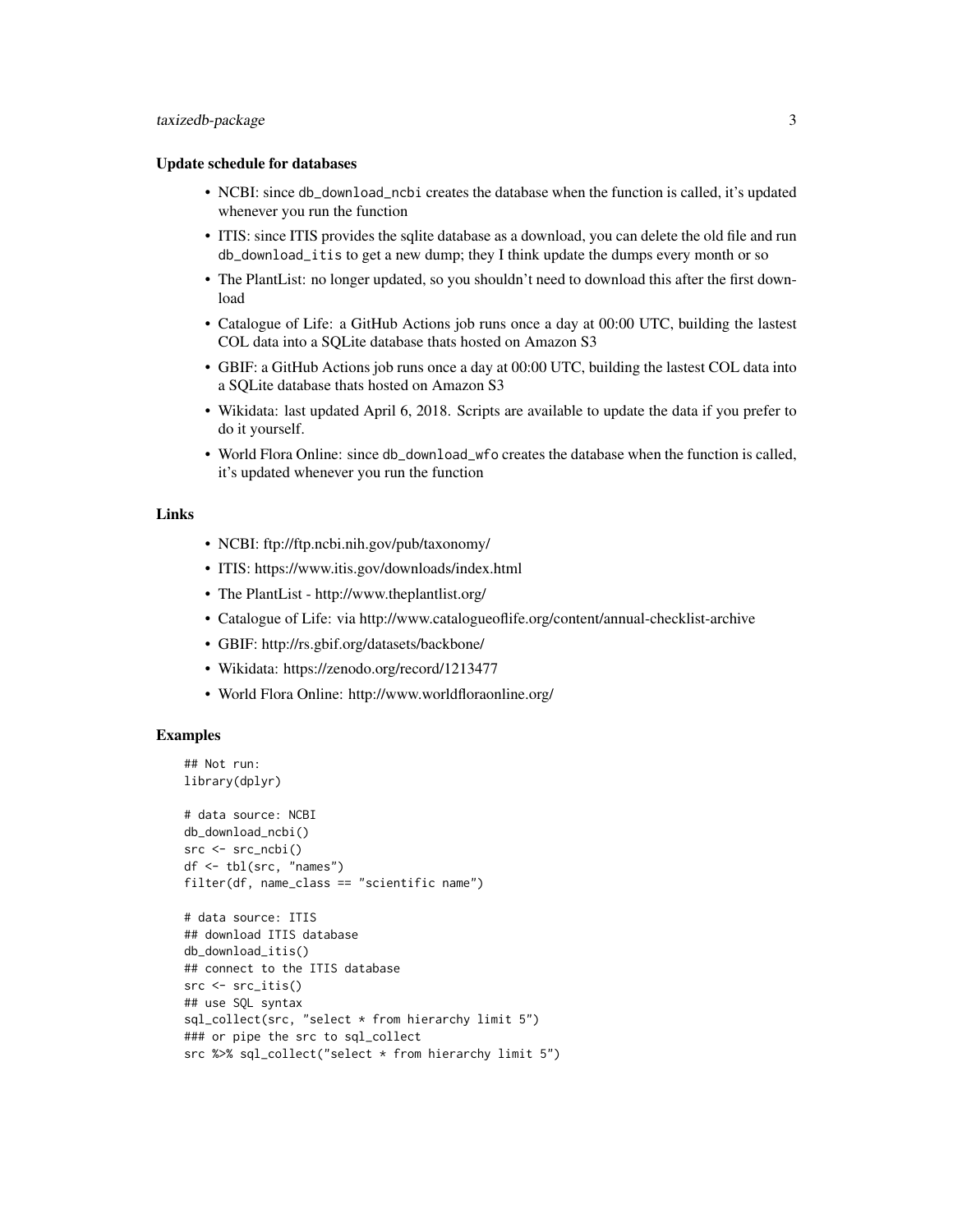## taxizedb-package 3

#### Update schedule for databases

- NCBI: since db\_download\_ncbi creates the database when the function is called, it's updated whenever you run the function
- ITIS: since ITIS provides the sqlite database as a download, you can delete the old file and run db\_download\_itis to get a new dump; they I think update the dumps every month or so
- The PlantList: no longer updated, so you shouldn't need to download this after the first download
- Catalogue of Life: a GitHub Actions job runs once a day at 00:00 UTC, building the lastest COL data into a SQLite database thats hosted on Amazon S3
- GBIF: a GitHub Actions job runs once a day at 00:00 UTC, building the lastest COL data into a SQLite database thats hosted on Amazon S3
- Wikidata: last updated April 6, 2018. Scripts are available to update the data if you prefer to do it yourself.
- World Flora Online: since db\_download\_wfo creates the database when the function is called, it's updated whenever you run the function

## Links

- NCBI: ftp://ftp.ncbi.nih.gov/pub/taxonomy/
- ITIS: https://www.itis.gov/downloads/index.html
- The PlantList http://www.theplantlist.org/
- Catalogue of Life: via http://www.catalogueoflife.org/content/annual-checklist-archive
- GBIF: http://rs.gbif.org/datasets/backbone/
- Wikidata: https://zenodo.org/record/1213477
- World Flora Online: http://www.worldfloraonline.org/

#### **Examples**

```
## Not run:
library(dplyr)
# data source: NCBI
db_download_ncbi()
src < - src_{ncbi()}df <- tbl(src, "names")
filter(df, name_class == "scientific name")
# data source: ITIS
## download ITIS database
db_download_itis()
## connect to the ITIS database
src <- src_itis()
## use SQL syntax
sql_collect(src, "select * from hierarchy limit 5")
### or pipe the src to sql_collect
```
src %>% sql\_collect("select \* from hierarchy limit 5")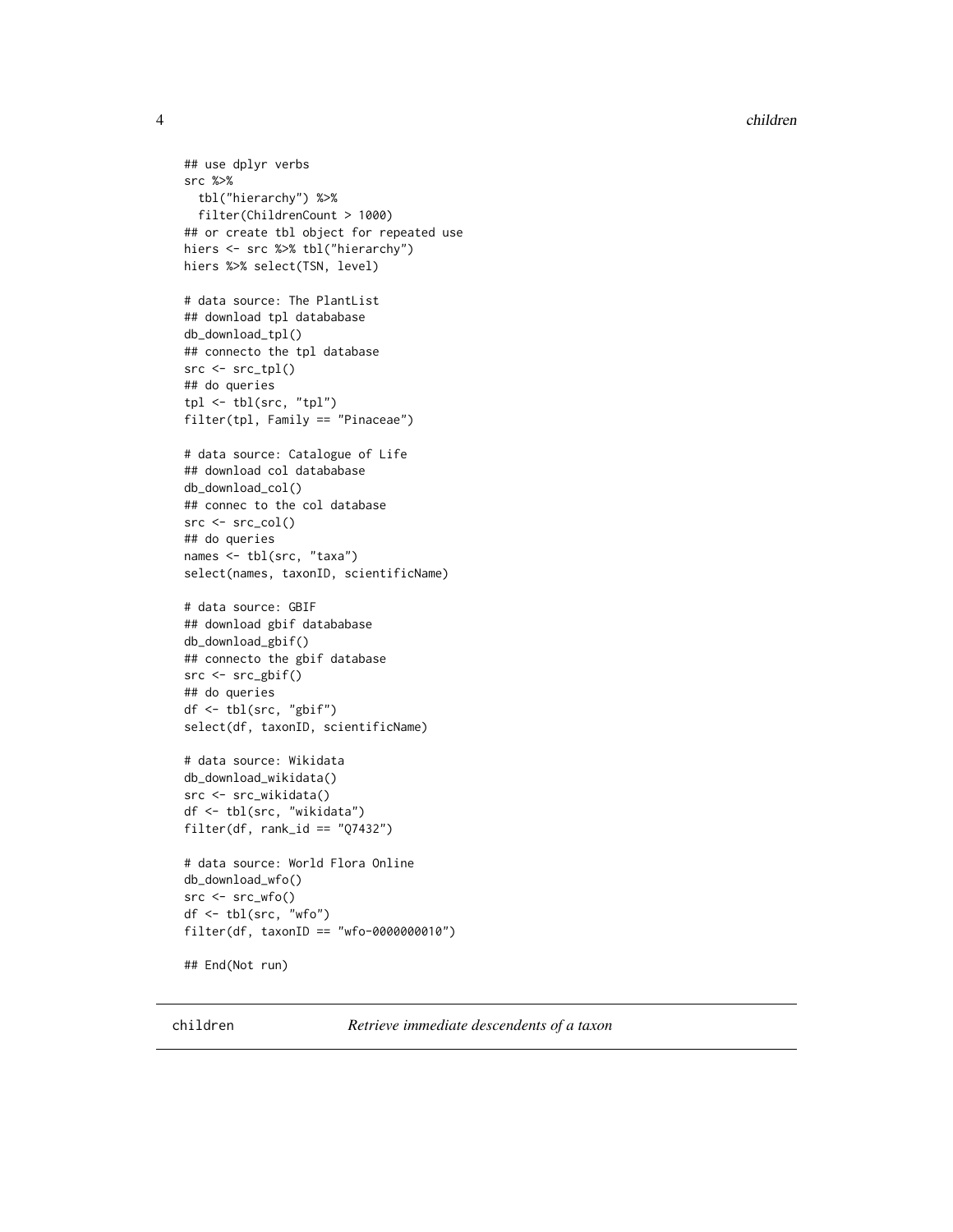<span id="page-3-0"></span>4 children

```
## use dplyr verbs
src %>%
  tbl("hierarchy") %>%
  filter(ChildrenCount > 1000)
## or create tbl object for repeated use
hiers <- src %>% tbl("hierarchy")
hiers %>% select(TSN, level)
# data source: The PlantList
## download tpl datababase
db_download_tpl()
## connecto the tpl database
src < - src_tpl()## do queries
tpl <- tbl(src, "tpl")
filter(tpl, Family == "Pinaceae")
# data source: Catalogue of Life
## download col datababase
db_download_col()
## connec to the col database
src < - src_{col}()## do queries
names <- tbl(src, "taxa")
select(names, taxonID, scientificName)
# data source: GBIF
## download gbif datababase
db_download_gbif()
## connecto the gbif database
src <- src_gbif()
## do queries
df <- tbl(src, "gbif")
select(df, taxonID, scientificName)
# data source: Wikidata
db_download_wikidata()
src <- src_wikidata()
df <- tbl(src, "wikidata")
filter(df, rank_id == "Q7432")# data source: World Flora Online
db_download_wfo()
src <- src_wfo()
df <- tbl(src, "wfo")
filter(df, taxonID == "wfo-0000000010")
## End(Not run)
```
children *Retrieve immediate descendents of a taxon*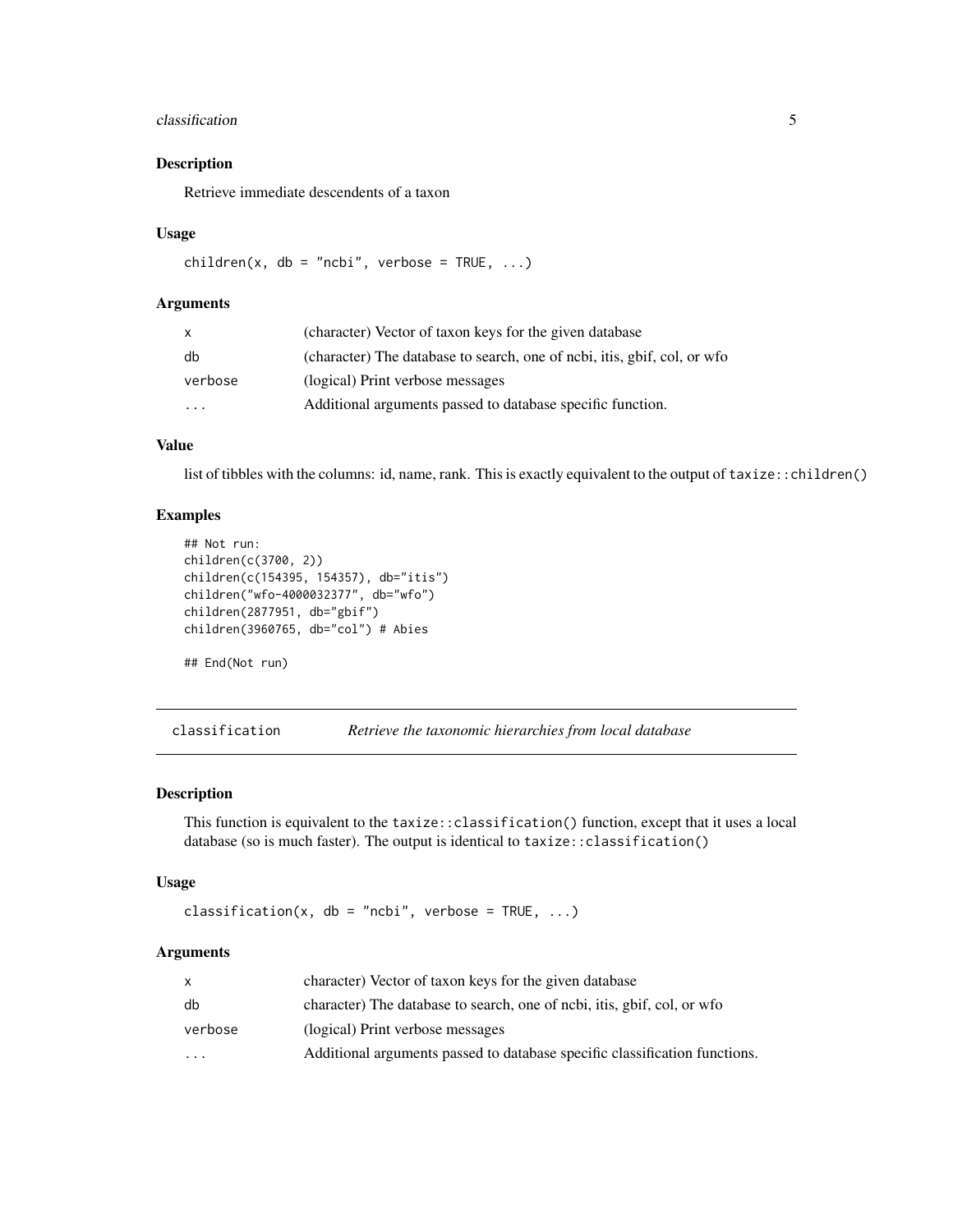#### <span id="page-4-0"></span>classification 5

## Description

Retrieve immediate descendents of a taxon

#### Usage

children(x, db = "ncbi", verbose =  $TRUE, ...$ )

#### Arguments

| x                       | (character) Vector of taxon keys for the given database                   |
|-------------------------|---------------------------------------------------------------------------|
| db                      | (character) The database to search, one of ncbi, it is, gbif, col, or wfo |
| verbose                 | (logical) Print verbose messages                                          |
| $\cdot$ $\cdot$ $\cdot$ | Additional arguments passed to database specific function.                |

## Value

list of tibbles with the columns: id, name, rank. This is exactly equivalent to the output of taxize::children()

## Examples

```
## Not run:
children(c(3700, 2))
children(c(154395, 154357), db="itis")
children("wfo-4000032377", db="wfo")
children(2877951, db="gbif")
children(3960765, db="col") # Abies
```
## End(Not run)

classification *Retrieve the taxonomic hierarchies from local database*

#### Description

This function is equivalent to the taxize::classification() function, except that it uses a local database (so is much faster). The output is identical to taxize:: classification()

#### Usage

```
classification(x, db = "ncbi", verbose = TRUE, ...)
```
#### **Arguments**

|           | character) Vector of taxon keys for the given database                     |
|-----------|----------------------------------------------------------------------------|
| db        | character) The database to search, one of ncbi, it is, gbif, col, or wfo   |
| verbose   | (logical) Print verbose messages                                           |
| $\ddotsc$ | Additional arguments passed to database specific classification functions. |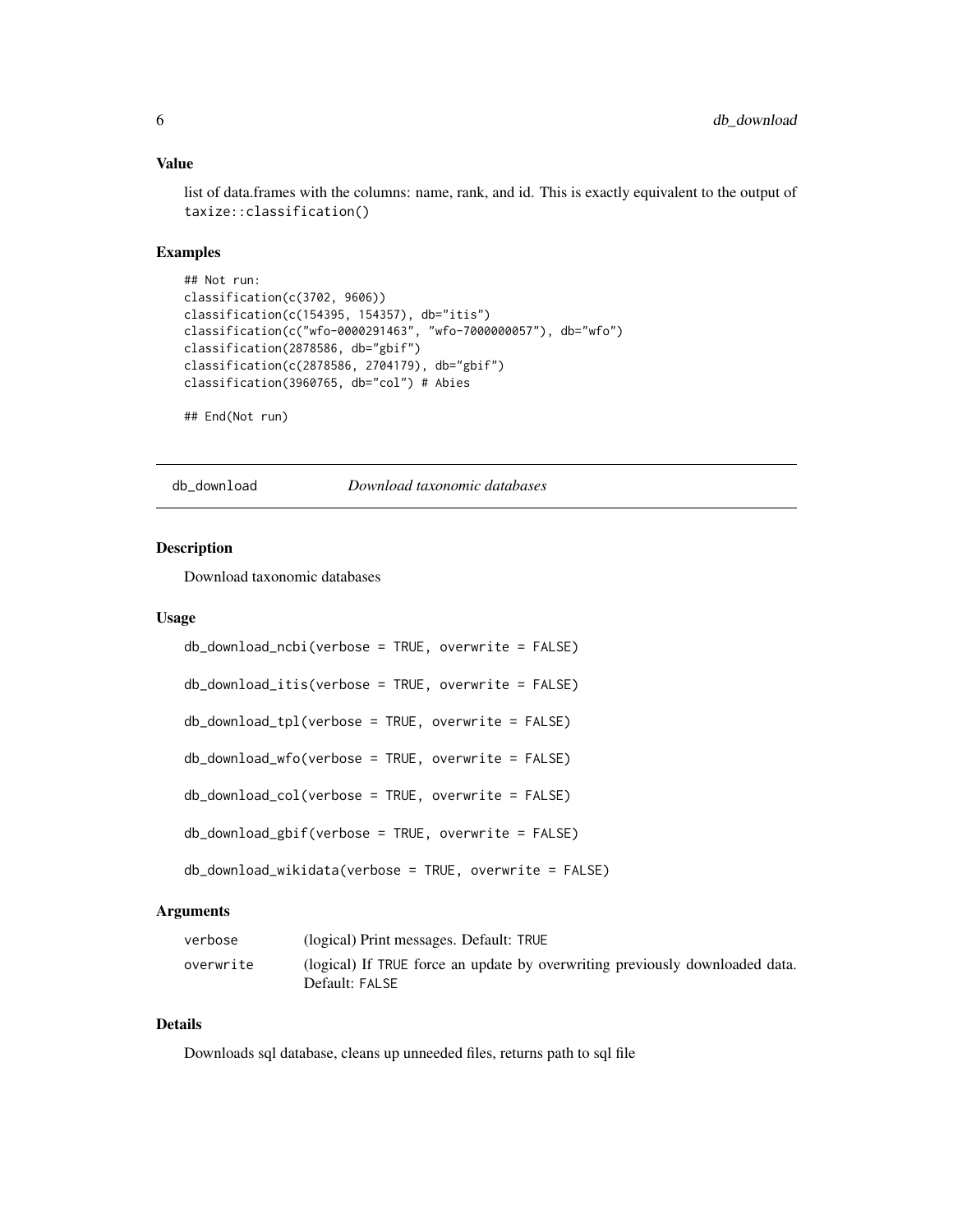## Value

list of data.frames with the columns: name, rank, and id. This is exactly equivalent to the output of taxize::classification()

## Examples

```
## Not run:
classification(c(3702, 9606))
classification(c(154395, 154357), db="itis")
classification(c("wfo-0000291463", "wfo-7000000057"), db="wfo")
classification(2878586, db="gbif")
classification(c(2878586, 2704179), db="gbif")
classification(3960765, db="col") # Abies
```
## End(Not run)

<span id="page-5-1"></span>db\_download *Download taxonomic databases*

## Description

Download taxonomic databases

#### Usage

| db_download_ncbi(verbose = TRUE, overwrite = FALSE)     |
|---------------------------------------------------------|
| db_download_itis(verbose = TRUE, overwrite = FALSE)     |
| db_download_tpl(verbose = TRUE, overwrite = FALSE)      |
| db_download_wfo(verbose = TRUE, overwrite = FALSE)      |
| db_download_col(verbose = TRUE, overwrite = FALSE)      |
| db_download_gbif(verbose = TRUE, overwrite = FALSE)     |
| db_download_wikidata(verbose = TRUE, overwrite = FALSE) |

#### Arguments

| verbose   | (logical) Print messages. Default: TRUE                                                        |
|-----------|------------------------------------------------------------------------------------------------|
| overwrite | (logical) If TRUE force an update by overwriting previously downloaded data.<br>Default: FALSE |

## Details

Downloads sql database, cleans up unneeded files, returns path to sql file

<span id="page-5-0"></span>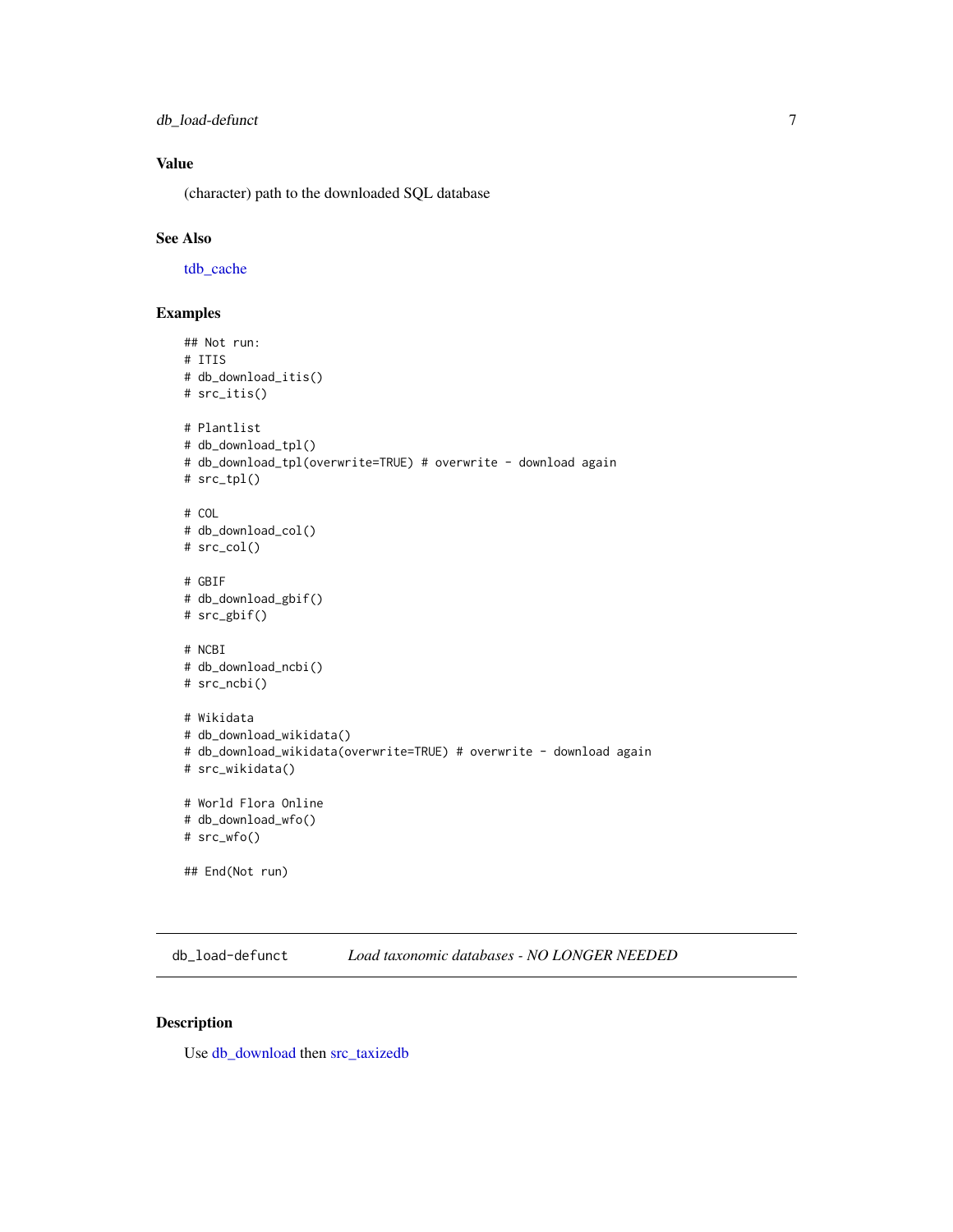<span id="page-6-0"></span>db\_load-defunct 7

## Value

(character) path to the downloaded SQL database

## See Also

[tdb\\_cache](#page-14-1)

## Examples

```
## Not run:
# ITIS
# db_download_itis()
# src_itis()
# Plantlist
# db_download_tpl()
# db_download_tpl(overwrite=TRUE) # overwrite - download again
# src_tpl()
# COL
# db_download_col()
# src_col()
# GBIF
# db_download_gbif()
# src_gbif()
# NCBI
# db_download_ncbi()
# src_ncbi()
# Wikidata
# db_download_wikidata()
# db_download_wikidata(overwrite=TRUE) # overwrite - download again
# src_wikidata()
# World Flora Online
# db_download_wfo()
# src_wfo()
## End(Not run)
```
db\_load-defunct *Load taxonomic databases - NO LONGER NEEDED*

#### Description

Use [db\\_download](#page-5-1) then [src\\_taxizedb](#page-10-1)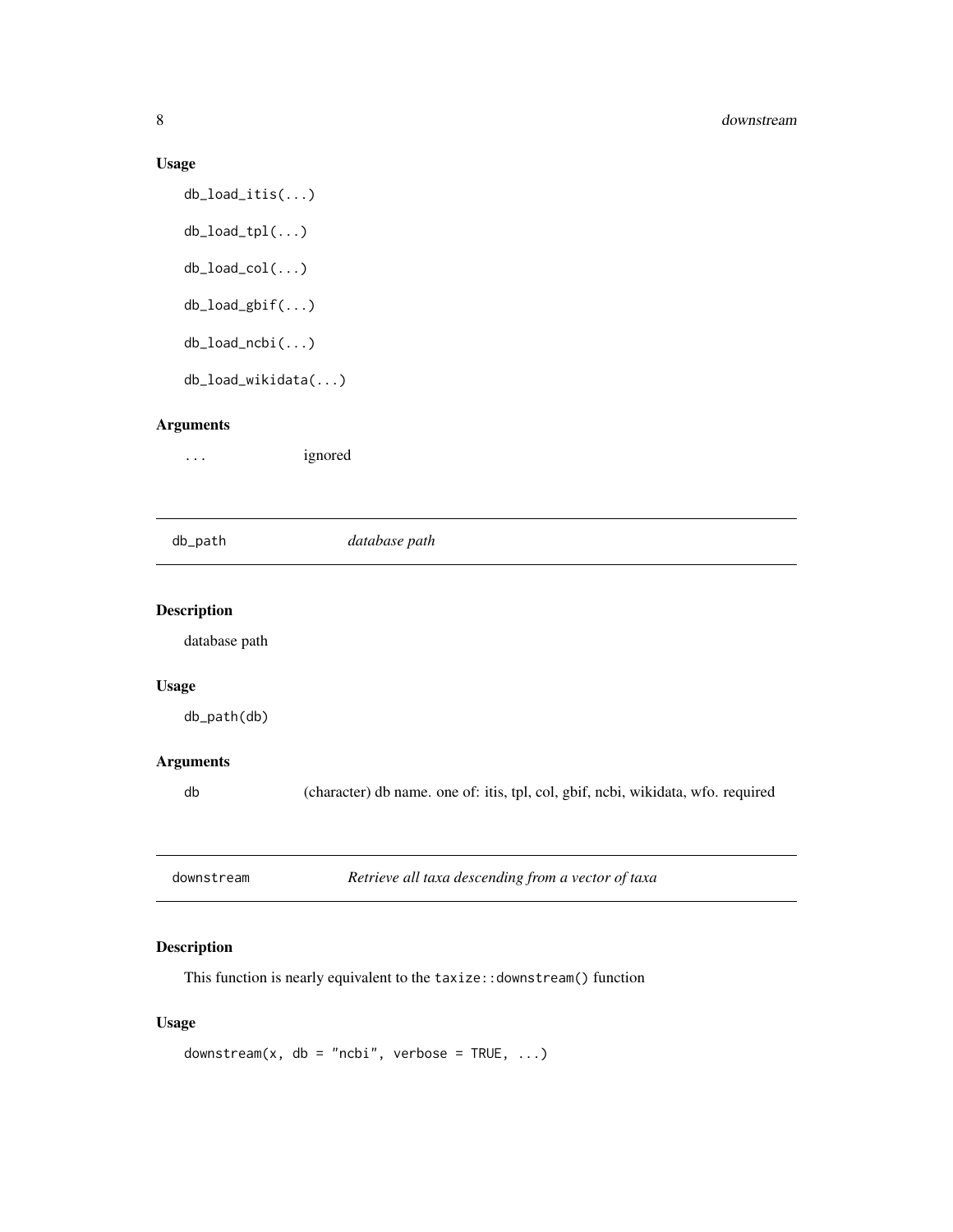#### Usage

```
db_load_itis(...)
db_load_tpl(...)
db_load_col(...)
db_load_gbif(...)
db_load_ncbi(...)
db_load_wikidata(...)
```
## Arguments

... ignored

<span id="page-7-1"></span>

db\_path *database path*

## Description

database path

## Usage

db\_path(db)

## Arguments

db (character) db name. one of: itis, tpl, col, gbif, ncbi, wikidata, wfo. required

| downstream | Retrieve all taxa descending from a vector of taxa |
|------------|----------------------------------------------------|
|------------|----------------------------------------------------|

## Description

This function is nearly equivalent to the taxize::downstream() function

## Usage

```
downstream(x, db = "ncbi", verbose = TRUE, ...)
```
<span id="page-7-0"></span>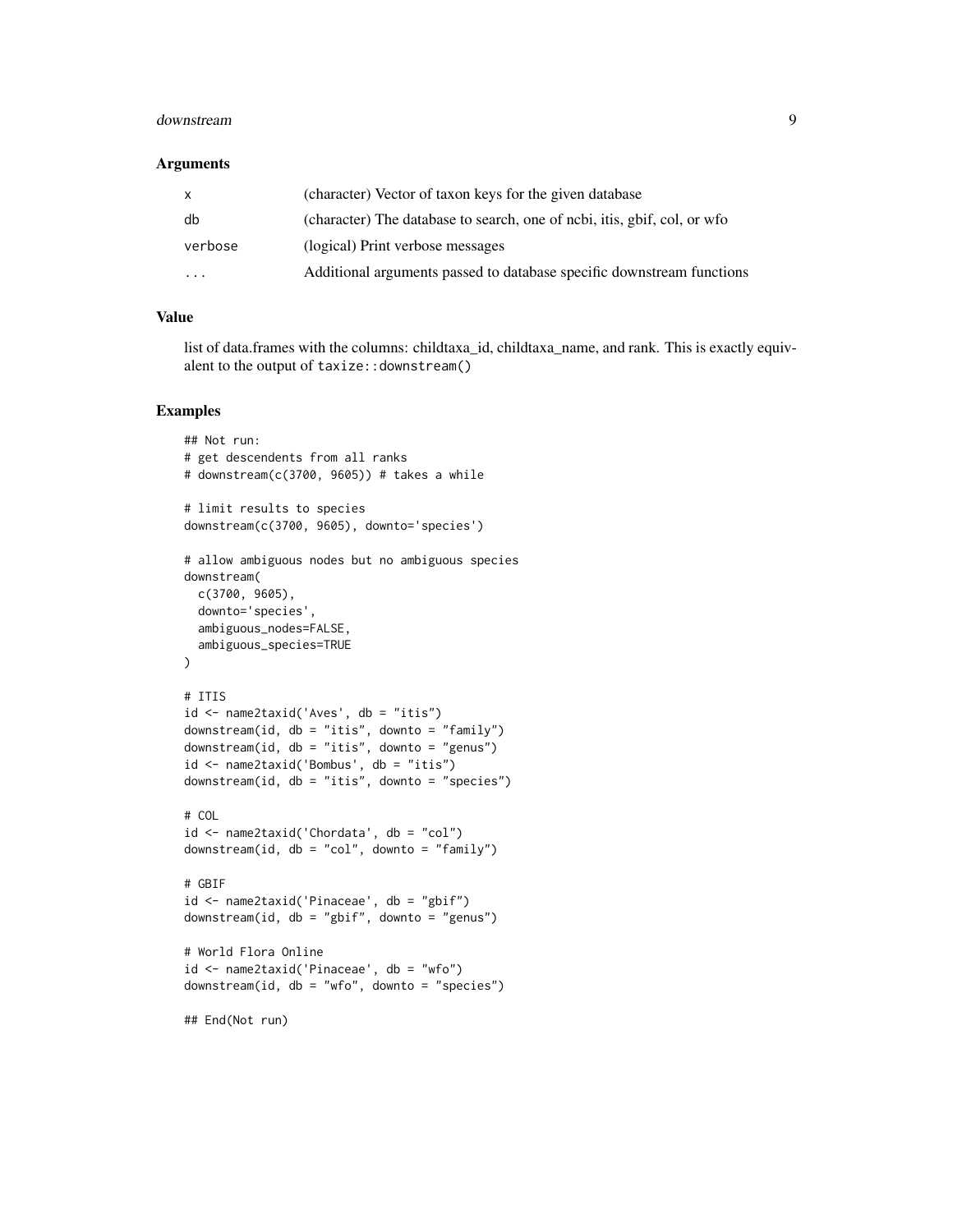#### downstream 9

#### **Arguments**

| $\mathsf{x}$ | (character) Vector of taxon keys for the given database                   |
|--------------|---------------------------------------------------------------------------|
| db           | (character) The database to search, one of ncbi, it is, gbif, col, or wfo |
| verbose      | (logical) Print verbose messages                                          |
| $\cdots$     | Additional arguments passed to database specific downstream functions     |

## Value

list of data.frames with the columns: childtaxa\_id, childtaxa\_name, and rank. This is exactly equivalent to the output of taxize::downstream()

#### Examples

```
## Not run:
# get descendents from all ranks
# downstream(c(3700, 9605)) # takes a while
# limit results to species
downstream(c(3700, 9605), downto='species')
# allow ambiguous nodes but no ambiguous species
downstream(
 c(3700, 9605),
  downto='species',
  ambiguous_nodes=FALSE,
  ambiguous_species=TRUE
\lambda# ITIS
id <- name2taxid('Aves', db = "itis")
downstream(id, db = "itis", downto = "family")
downstream(id, db = "itis", downto = "genus")
id <- name2taxid('Bombus', db = "itis")
downstream(id, db = "itis", downto = "species")
# COL
id <- name2taxid('Chordata', db = "col")
downstream(id, db = "col", downto = "family")
# GBIF
id <- name2taxid('Pinaceae', db = "gbif")
downstream(id, db = "gbif", downto = "genus")
# World Flora Online
id <- name2taxid('Pinaceae', db = "wfo")
downstream(id, db = "wfo", downto = "species")## End(Not run)
```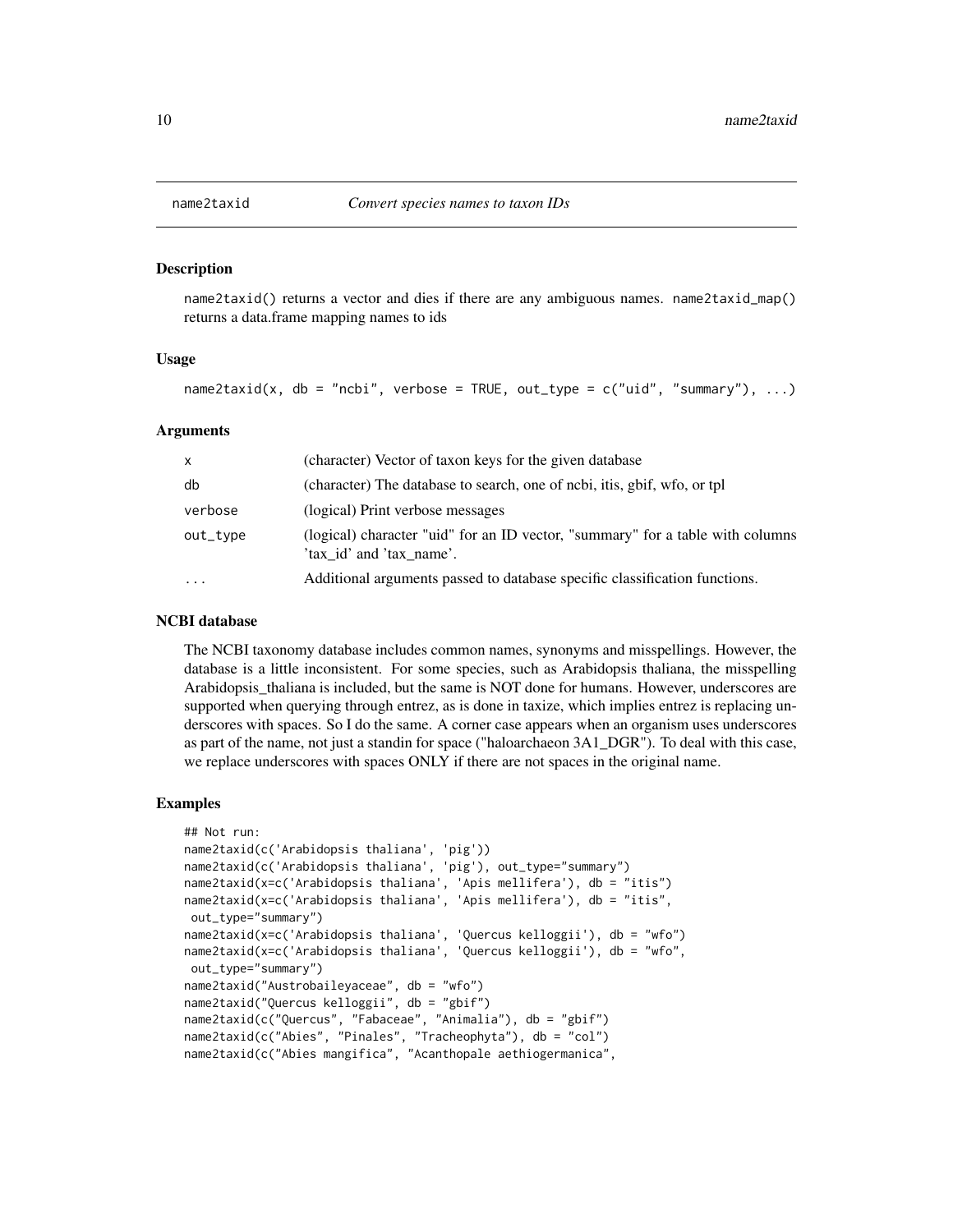#### **Description**

name2taxid() returns a vector and dies if there are any ambiguous names. name2taxid\_map() returns a data.frame mapping names to ids

#### Usage

name2taxid(x, db = "ncbi", verbose = TRUE, out\_type =  $c("uid", "summary"), ...$ )

#### Arguments

| X         | (character) Vector of taxon keys for the given database                                                    |
|-----------|------------------------------------------------------------------------------------------------------------|
| db        | (character) The database to search, one of ncbi, it is, gbif, wfo, or tpl                                  |
| verbose   | (logical) Print verbose messages                                                                           |
| out_type  | (logical) character "uid" for an ID vector, "summary" for a table with columns<br>'tax id' and 'tax name'. |
| $\ddotsc$ | Additional arguments passed to database specific classification functions.                                 |

#### NCBI database

The NCBI taxonomy database includes common names, synonyms and misspellings. However, the database is a little inconsistent. For some species, such as Arabidopsis thaliana, the misspelling Arabidopsis\_thaliana is included, but the same is NOT done for humans. However, underscores are supported when querying through entrez, as is done in taxize, which implies entrez is replacing underscores with spaces. So I do the same. A corner case appears when an organism uses underscores as part of the name, not just a standin for space ("haloarchaeon 3A1\_DGR"). To deal with this case, we replace underscores with spaces ONLY if there are not spaces in the original name.

#### Examples

```
## Not run:
name2taxid(c('Arabidopsis thaliana', 'pig'))
name2taxid(c('Arabidopsis thaliana', 'pig'), out_type="summary")
name2taxid(x=c('Arabidopsis thaliana', 'Apis mellifera'), db = "itis")
name2taxid(x=c('Arabidopsis thaliana', 'Apis mellifera'), db = "itis",
out_type="summary")
name2taxid(x=c('Arabidopsis thaliana', 'Quercus kelloggii'), db = "wfo")
name2taxid(x=c('Arabidopsis thaliana', 'Quercus kelloggii'), db = "wfo",
out_type="summary")
name2taxid("Austrobaileyaceae", db = "wfo")
name2taxid("Quercus kelloggii", db = "gbif")
name2taxid(c("Quercus", "Fabaceae", "Animalia"), db = "gbif")
name2taxid(c("Abies", "Pinales", "Tracheophyta"), db = "col")
name2taxid(c("Abies mangifica", "Acanthopale aethiogermanica",
```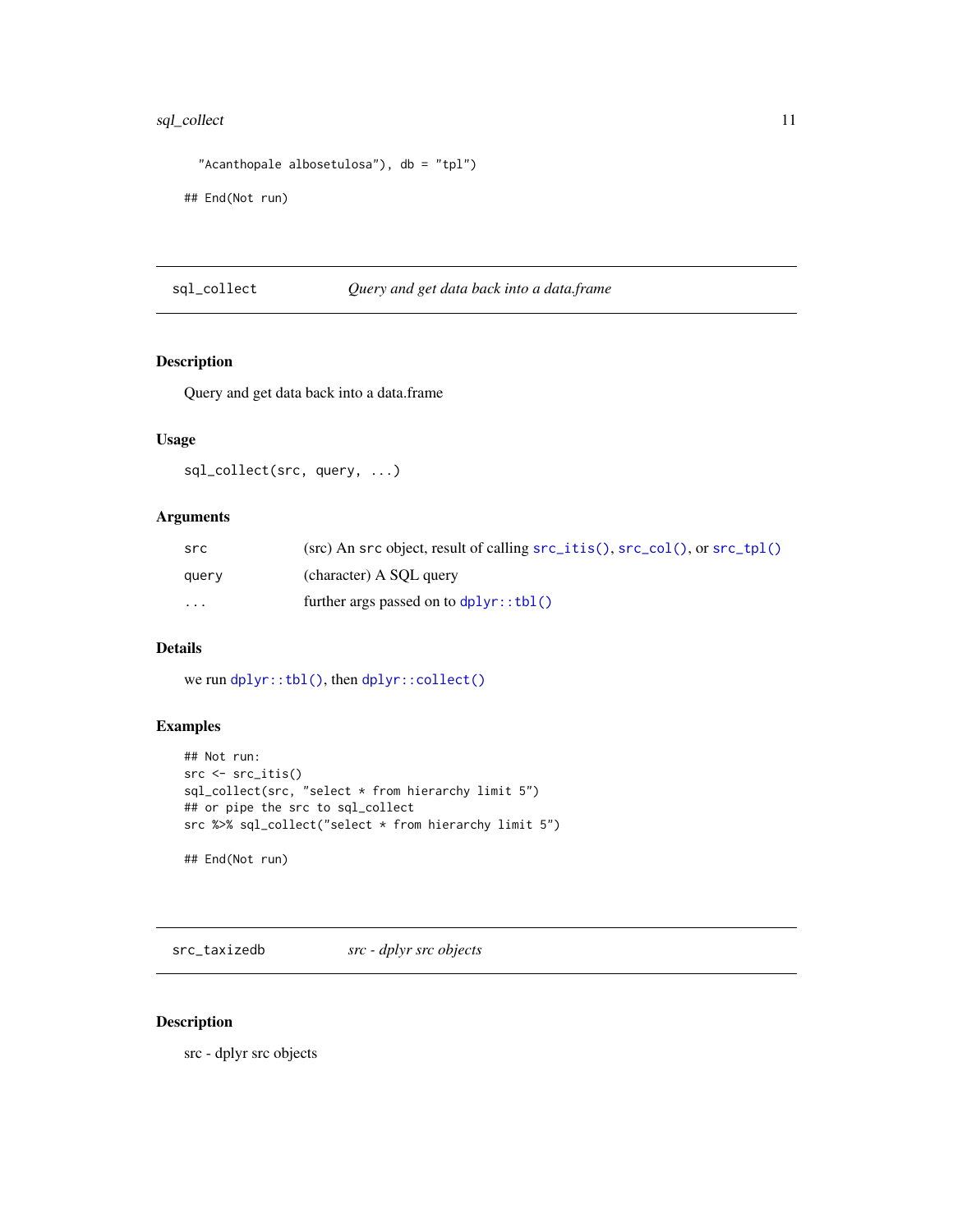## <span id="page-10-0"></span>sql\_collect 11

```
"Acanthopale albosetulosa"), db = "tpl")
```
## End(Not run)

sql\_collect *Query and get data back into a data.frame*

## Description

Query and get data back into a data.frame

## Usage

sql\_collect(src, query, ...)

## Arguments

| src      | $(\text{src})$ An src object, result of calling $\text{src}_\text{it}$ is $($ , $\text{src}_\text{it}$ $\text{col}($ , or $\text{src}_\text{it}$ $\text{tpl}($ |
|----------|----------------------------------------------------------------------------------------------------------------------------------------------------------------|
| query    | (character) A SQL query                                                                                                                                        |
| $\cdots$ | further args passed on to $d$ $p$ l $y$ r: $tb$ l()                                                                                                            |

## Details

we run [dplyr::tbl\(\)](#page-0-0), then [dplyr::collect\(\)](#page-0-0)

## Examples

```
## Not run:
src <- src_itis()
sql_collect(src, "select * from hierarchy limit 5")
## or pipe the src to sql_collect
src %>% sql_collect("select * from hierarchy limit 5")
## End(Not run)
```
<span id="page-10-1"></span>src\_taxizedb *src - dplyr src objects*

## <span id="page-10-2"></span>Description

src - dplyr src objects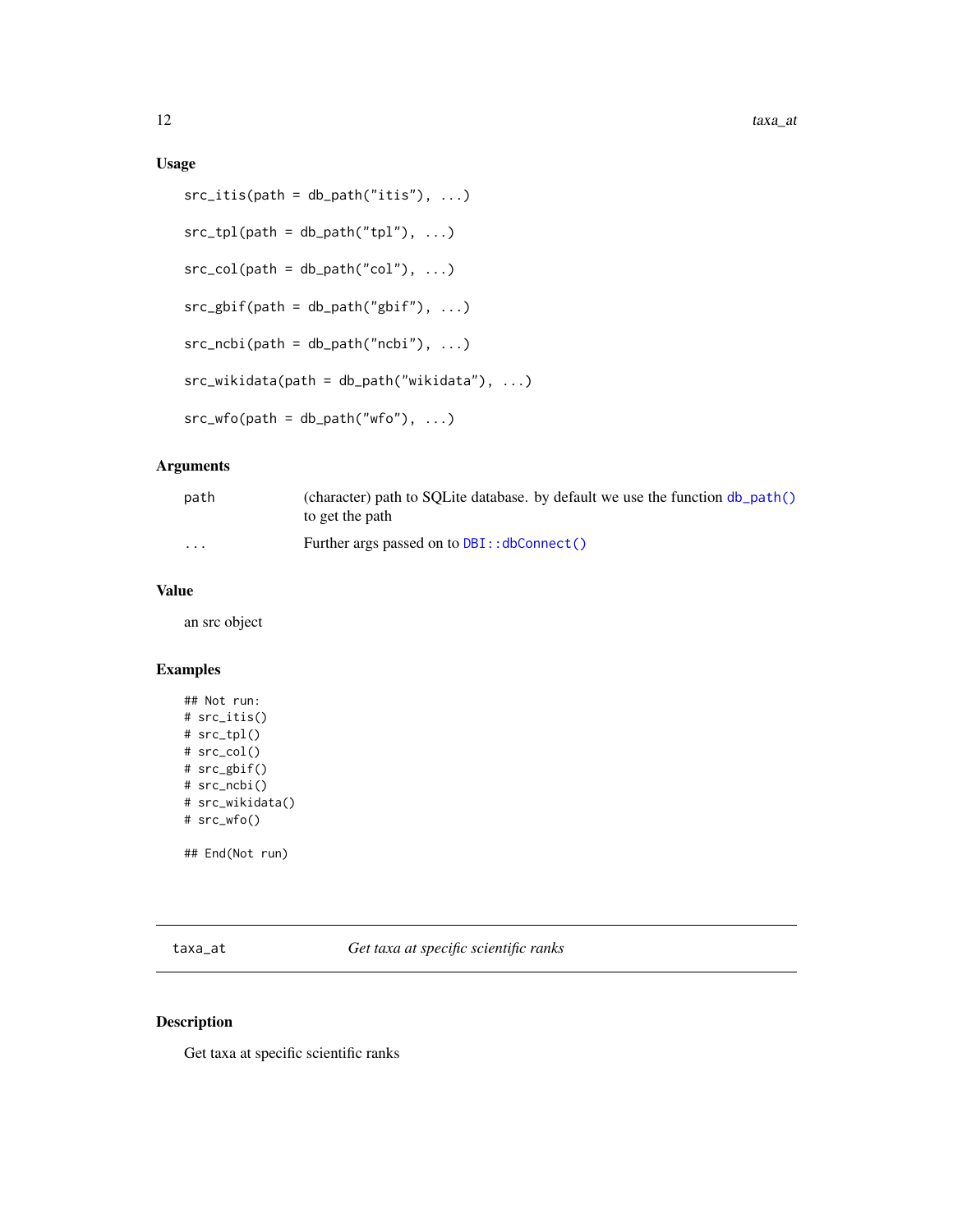## <span id="page-11-0"></span>Usage

```
src\_itis(path = db\_path("itis"), ...)src\_tpl(path = db\_path("tpl"), ...)src\_col(path = db\_path("col"), ...)src\_gbif(path = db\_path("gbif"), ...)src\_ncbi(path = db\_path("ncbi"), ...)src_wikidata(path = db_path("wikidata"), ...)
src_wfo(path = db_path("wfo"), ...)
```
## Arguments

| path                    | (character) path to SOLite database. by default we use the function $db$ path()<br>to get the path |
|-------------------------|----------------------------------------------------------------------------------------------------|
| $\cdot$ $\cdot$ $\cdot$ | Further args passed on to DBI:: dbConnect()                                                        |

#### Value

an src object

#### Examples

```
## Not run:
# src_itis()
# src_tpl()
# src_col()
# src_gbif()
# src_ncbi()
# src_wikidata()
# src_wfo()
```
## End(Not run)

taxa\_at *Get taxa at specific scientific ranks*

#### Description

Get taxa at specific scientific ranks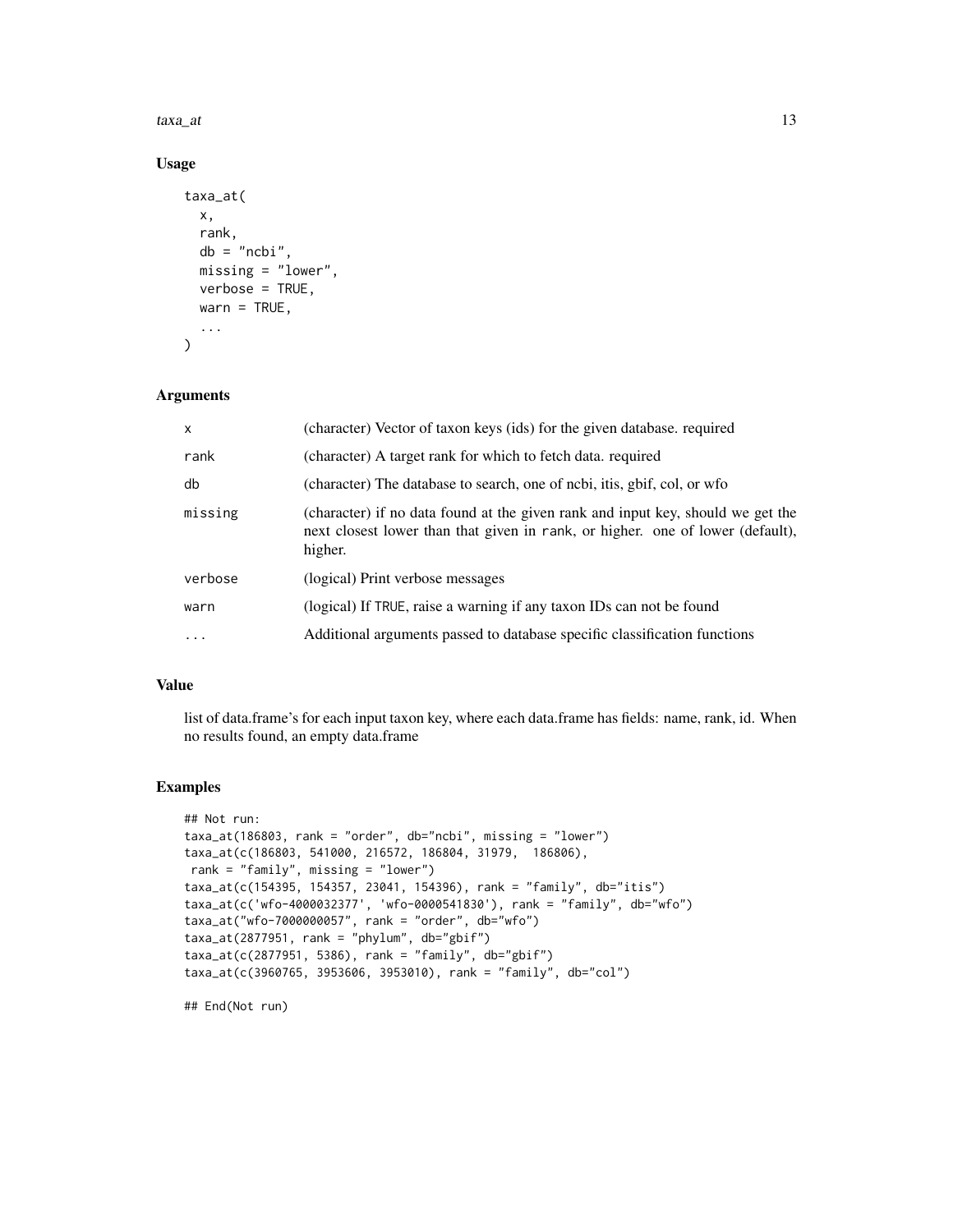$taxa\_at$  13

## Usage

```
taxa_at(
 x,
 rank,
 db = "ncbi",missing = "lower",
 verbose = TRUE,
 warn = TRUE,...
)
```
## Arguments

| X       | (character) Vector of taxon keys (ids) for the given database. required                                                                                                      |
|---------|------------------------------------------------------------------------------------------------------------------------------------------------------------------------------|
| rank    | (character) A target rank for which to fetch data. required                                                                                                                  |
| db      | (character) The database to search, one of ncbi, itis, gbif, col, or wfo                                                                                                     |
| missing | (character) if no data found at the given rank and input key, should we get the<br>next closest lower than that given in rank, or higher. one of lower (default),<br>higher. |
| verbose | (logical) Print verbose messages                                                                                                                                             |
| warn    | (logical) If TRUE, raise a warning if any taxon IDs can not be found                                                                                                         |
| $\cdot$ | Additional arguments passed to database specific classification functions                                                                                                    |

## Value

list of data.frame's for each input taxon key, where each data.frame has fields: name, rank, id. When no results found, an empty data.frame

## Examples

```
## Not run:
taxa_at(186803, rank = "order", db="ncbi", missing = "lower")
taxa_at(c(186803, 541000, 216572, 186804, 31979, 186806),
rank = "family", missing = "lower")
taxa_at(c(154395, 154357, 23041, 154396), rank = "family", db="itis")
taxa_at(c('wfo-4000032377', 'wfo-0000541830'), rank = "family", db="wfo")
taxa_at("wfo-7000000057", rank = "order", db="wfo")
taxa_at(2877951, rank = "phylum", db="gbif")
taxa_at(c(2877951, 5386), rank = "family", db="gbif")
taxa_at(c(3960765, 3953606, 3953010), rank = "family", db="col")
```
## End(Not run)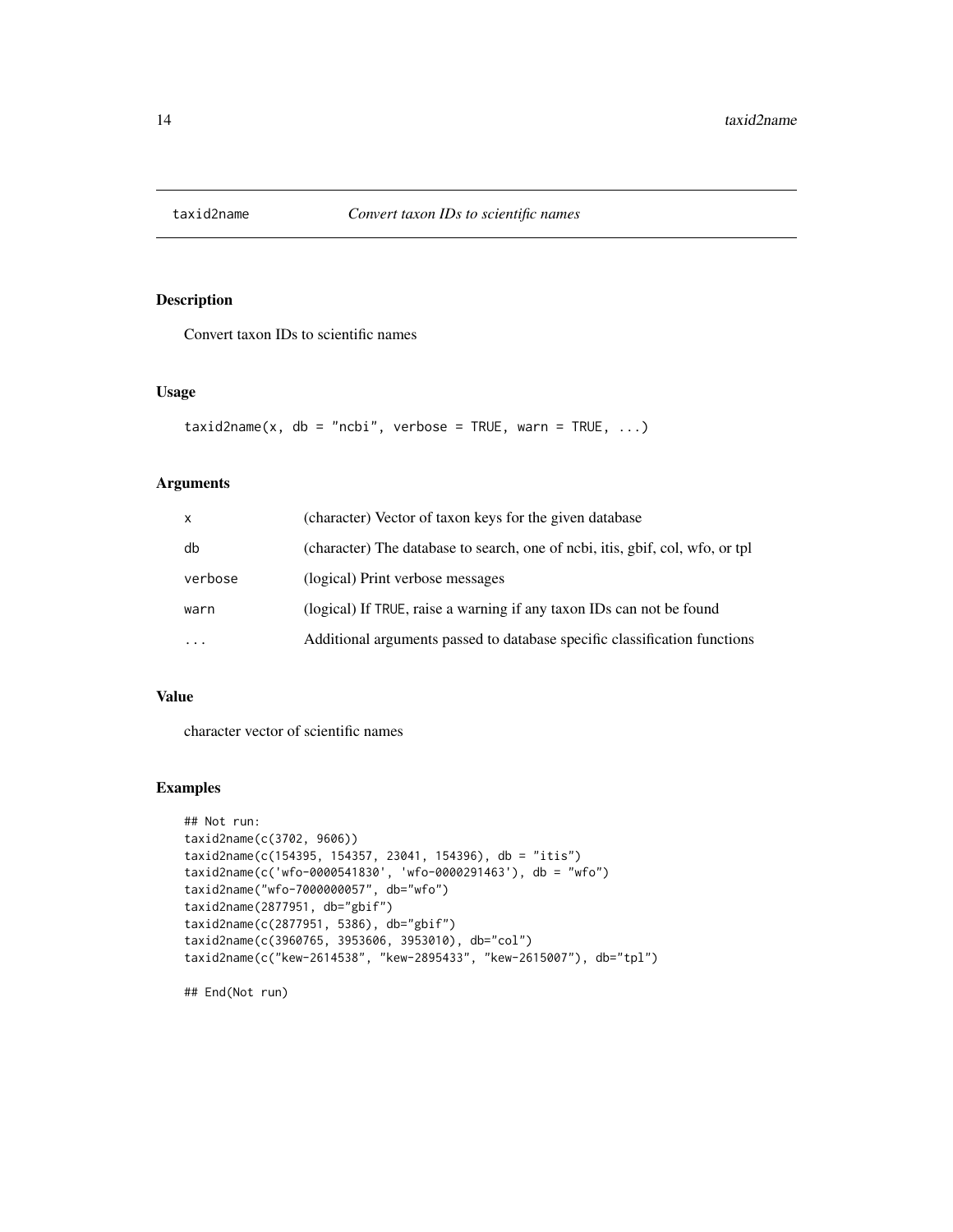<span id="page-13-0"></span>

## Description

Convert taxon IDs to scientific names

#### Usage

```
taxid2name(x, db = "ncbi", verbose = TRUE, warn = TRUE, ...)
```
#### Arguments

| $\mathsf{x}$ | (character) Vector of taxon keys for the given database                        |
|--------------|--------------------------------------------------------------------------------|
| db           | (character) The database to search, one of ncbi, it is, gbif, col, wfo, or tpl |
| verbose      | (logical) Print verbose messages                                               |
| warn         | (logical) If TRUE, raise a warning if any taxon IDs can not be found           |
| $\cdots$     | Additional arguments passed to database specific classification functions      |

#### Value

character vector of scientific names

## Examples

```
## Not run:
taxid2name(c(3702, 9606))
taxid2name(c(154395, 154357, 23041, 154396), db = "itis")
taxid2name(c('wfo-0000541830', 'wfo-0000291463'), db = "wfo")
taxid2name("wfo-7000000057", db="wfo")
taxid2name(2877951, db="gbif")
taxid2name(c(2877951, 5386), db="gbif")
taxid2name(c(3960765, 3953606, 3953010), db="col")
taxid2name(c("kew-2614538", "kew-2895433", "kew-2615007"), db="tpl")
```
## End(Not run)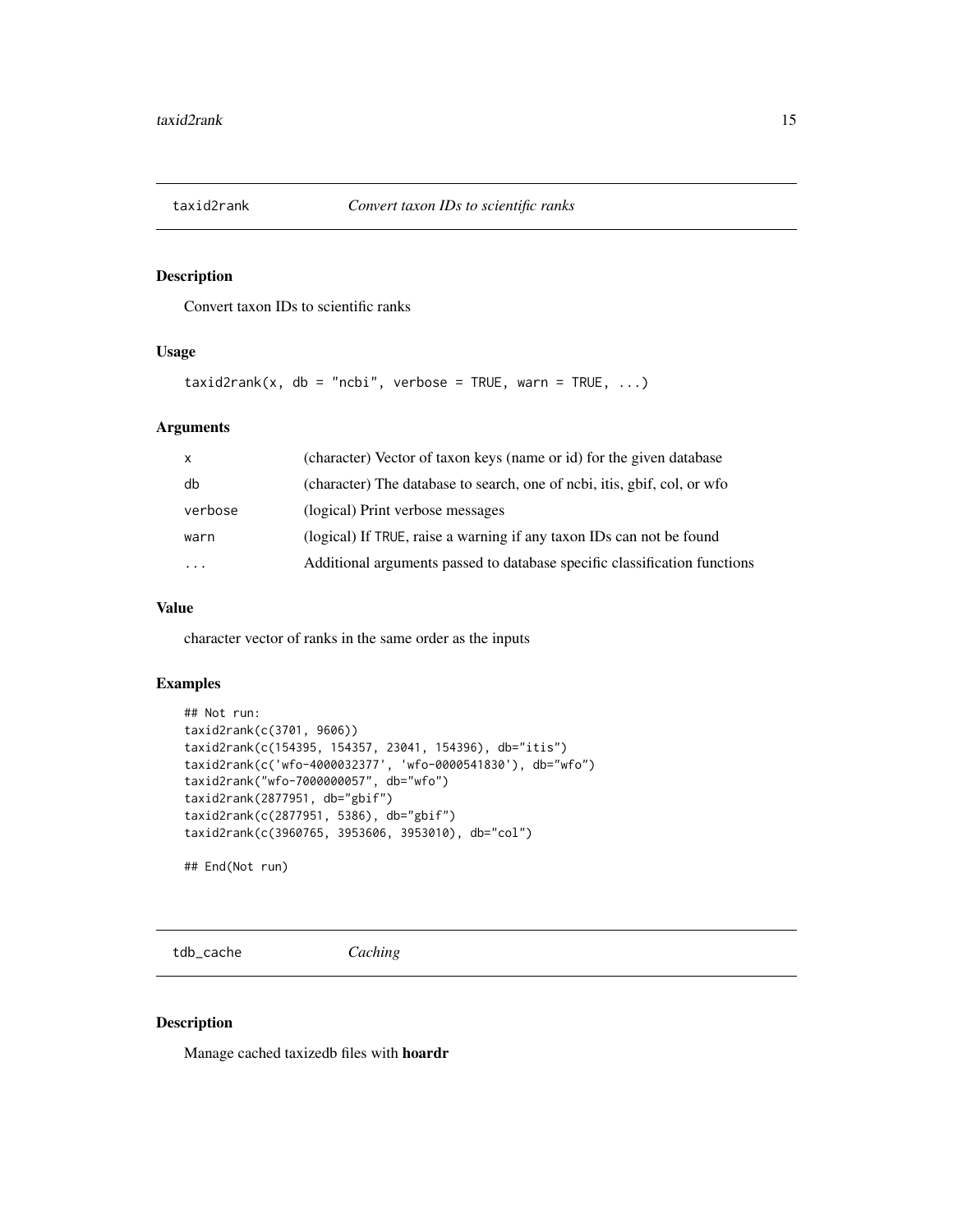<span id="page-14-0"></span>

## Description

Convert taxon IDs to scientific ranks

## Usage

 $taxid2rank(x, db = "ncbi", verbose = TRUE, warn = TRUE, ...)$ 

## Arguments

| $\mathsf{x}$            | (character) Vector of taxon keys (name or id) for the given database      |
|-------------------------|---------------------------------------------------------------------------|
| db                      | (character) The database to search, one of ncbi, itis, gbif, col, or wfo  |
| verbose                 | (logical) Print verbose messages                                          |
| warn                    | (logical) If TRUE, raise a warning if any taxon IDs can not be found      |
| $\cdot$ $\cdot$ $\cdot$ | Additional arguments passed to database specific classification functions |

## Value

character vector of ranks in the same order as the inputs

## Examples

```
## Not run:
taxid2rank(c(3701, 9606))
taxid2rank(c(154395, 154357, 23041, 154396), db="itis")
taxid2rank(c('wfo-4000032377', 'wfo-0000541830'), db="wfo")
taxid2rank("wfo-7000000057", db="wfo")
taxid2rank(2877951, db="gbif")
taxid2rank(c(2877951, 5386), db="gbif")
taxid2rank(c(3960765, 3953606, 3953010), db="col")
```
## End(Not run)

<span id="page-14-1"></span>tdb\_cache *Caching*

#### Description

Manage cached taxizedb files with hoardr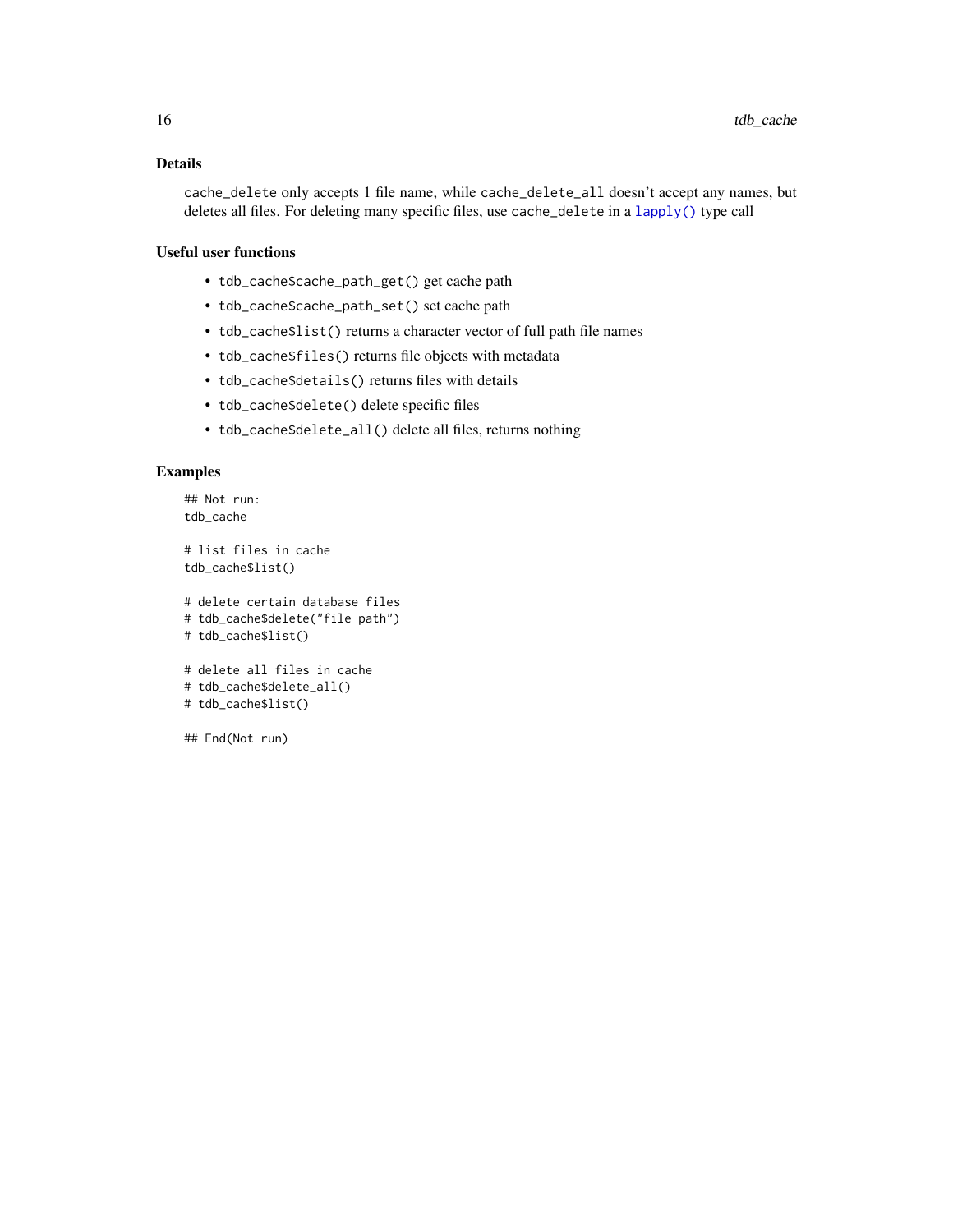## <span id="page-15-0"></span>Details

cache\_delete only accepts 1 file name, while cache\_delete\_all doesn't accept any names, but deletes all files. For deleting many specific files, use cache\_delete in a [lapply\(\)](#page-0-0) type call

## Useful user functions

- tdb\_cache\$cache\_path\_get() get cache path
- tdb\_cache\$cache\_path\_set() set cache path
- tdb\_cache\$list() returns a character vector of full path file names
- tdb\_cache\$files() returns file objects with metadata
- tdb\_cache\$details() returns files with details
- tdb\_cache\$delete() delete specific files
- tdb\_cache\$delete\_all() delete all files, returns nothing

## Examples

```
## Not run:
tdb_cache
```

```
# list files in cache
tdb_cache$list()
```

```
# delete certain database files
# tdb_cache$delete("file path")
# tdb_cache$list()
```

```
# delete all files in cache
# tdb_cache$delete_all()
# tdb_cache$list()
```
## End(Not run)